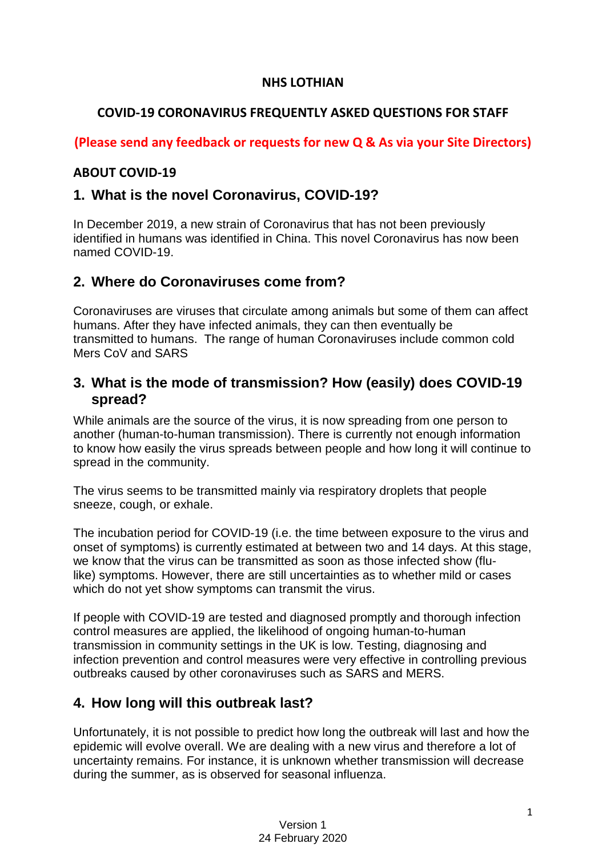#### **NHS LOTHIAN**

### **COVID-19 CORONAVIRUS FREQUENTLY ASKED QUESTIONS FOR STAFF**

### **(Please send any feedback or requests for new Q & As via your Site Directors)**

#### **ABOUT COVID-19**

### **1. What is the novel Coronavirus, COVID-19?**

In December 2019, a new strain of Coronavirus that has not been previously identified in humans was identified in China. This novel Coronavirus has now been named COVID-19.

# **2. Where do Coronaviruses come from?**

Coronaviruses are viruses that circulate among animals but some of them can affect humans. After they have infected animals, they can then eventually be transmitted to humans. The range of human Coronaviruses include common cold Mers CoV and SARS

### **3. What is the mode of transmission? How (easily) does COVID-19 spread?**

While animals are the source of the virus, it is now spreading from one person to another (human-to-human transmission). There is currently not enough information to know how easily the virus spreads between people and how long it will continue to spread in the community.

The virus seems to be transmitted mainly via respiratory droplets that people sneeze, cough, or exhale.

The incubation period for COVID-19 (i.e. the time between exposure to the virus and onset of symptoms) is currently estimated at between two and 14 days. At this stage, we know that the virus can be transmitted as soon as those infected show (flulike) symptoms. However, there are still uncertainties as to whether mild or cases which do not yet show symptoms can transmit the virus.

If people with COVID-19 are tested and diagnosed promptly and thorough infection control measures are applied, the likelihood of ongoing human-to-human transmission in community settings in the UK is low. Testing, diagnosing and infection prevention and control measures were very effective in controlling previous outbreaks caused by other coronaviruses such as SARS and MERS.

## **4. How long will this outbreak last?**

Unfortunately, it is not possible to predict how long the outbreak will last and how the epidemic will evolve overall. We are dealing with a new virus and therefore a lot of uncertainty remains. For instance, it is unknown whether transmission will decrease during the summer, as is observed for seasonal influenza.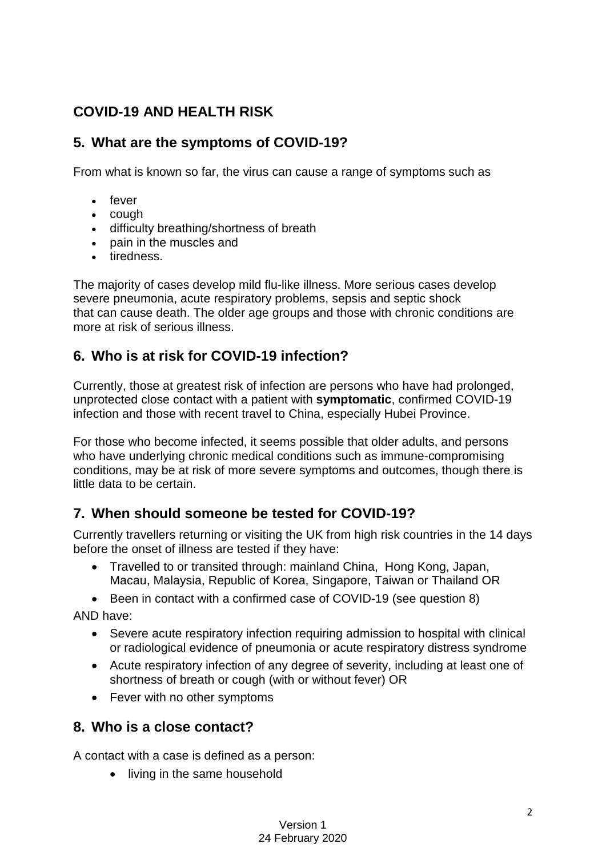# **COVID-19 AND HEALTH RISK**

# **5. What are the symptoms of COVID-19?**

From what is known so far, the virus can cause a range of symptoms such as

- fever
- cough
- difficulty breathing/shortness of breath
- pain in the muscles and
- tiredness.

The majority of cases develop mild flu-like illness. More serious cases develop severe pneumonia, acute respiratory problems, sepsis and septic shock that can cause death. The older age groups and those with chronic conditions are more at risk of serious illness.

# **6. Who is at risk for COVID-19 infection?**

Currently, those at greatest risk of infection are persons who have had prolonged, unprotected close contact with a patient with **symptomatic**, confirmed COVID-19 infection and those with recent travel to China, especially Hubei Province.

For those who become infected, it seems possible that older adults, and persons who have underlying chronic medical conditions such as immune-compromising conditions, may be at risk of more severe symptoms and outcomes, though there is little data to be certain.

# **7. When should someone be tested for COVID-19?**

Currently travellers returning or visiting the UK from high risk countries in the 14 days before the onset of illness are tested if they have:

- Travelled to or transited through: mainland China, Hong Kong, Japan, Macau, Malaysia, Republic of Korea, Singapore, Taiwan or Thailand OR
- Been in contact with a confirmed case of COVID-19 (see question 8)

AND have:

- Severe acute respiratory infection requiring admission to hospital with clinical or radiological evidence of pneumonia or acute respiratory distress syndrome
- Acute respiratory infection of any degree of severity, including at least one of shortness of breath or cough (with or without fever) OR
- Fever with no other symptoms

## **8. Who is a close contact?**

A contact with a case is defined as a person:

• living in the same household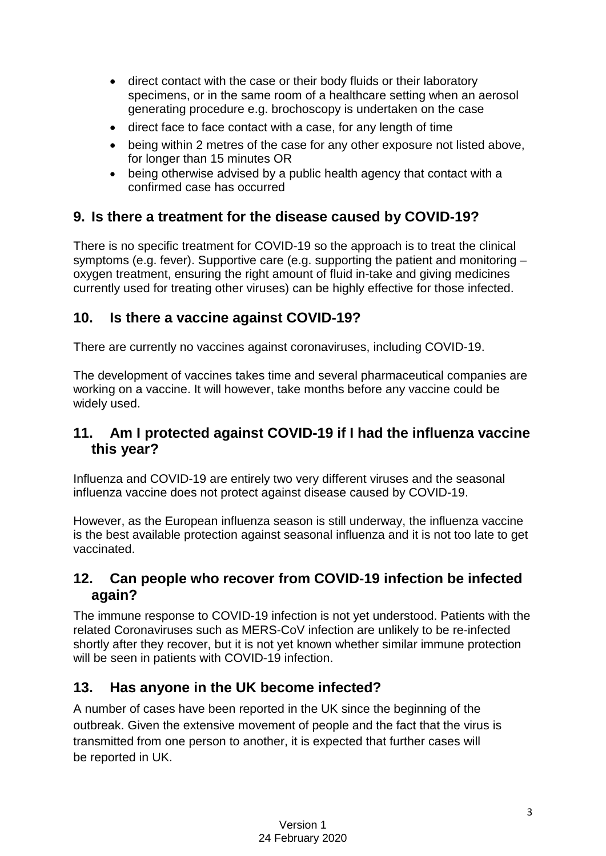- direct contact with the case or their body fluids or their laboratory specimens, or in the same room of a healthcare setting when an aerosol generating procedure e.g. brochoscopy is undertaken on the case
- direct face to face contact with a case, for any length of time
- being within 2 metres of the case for any other exposure not listed above, for longer than 15 minutes OR
- being otherwise advised by a public health agency that contact with a confirmed case has occurred

# **9. Is there a treatment for the disease caused by COVID-19?**

There is no specific treatment for COVID-19 so the approach is to treat the clinical symptoms (e.g. fever). Supportive care (e.g. supporting the patient and monitoring – oxygen treatment, ensuring the right amount of fluid in-take and giving medicines currently used for treating other viruses) can be highly effective for those infected.

## **10. Is there a vaccine against COVID-19?**

There are currently no vaccines against coronaviruses, including COVID-19.

The development of vaccines takes time and several pharmaceutical companies are working on a vaccine. It will however, take months before any vaccine could be widely used.

## **11. Am I protected against COVID-19 if I had the influenza vaccine this year?**

Influenza and COVID-19 are entirely two very different viruses and the seasonal influenza vaccine does not protect against disease caused by COVID-19.

However, as the European influenza season is still underway, the influenza vaccine is the best available protection against seasonal influenza and it is not too late to get vaccinated.

## **12. Can people who recover from COVID-19 infection be infected again?**

The immune response to COVID-19 infection is not yet understood. Patients with the related Coronaviruses such as MERS-CoV infection are unlikely to be re-infected shortly after they recover, but it is not yet known whether similar immune protection will be seen in patients with COVID-19 infection.

# **13. Has anyone in the UK become infected?**

A number of cases have been reported in the UK since the beginning of the outbreak. Given the extensive movement of people and the fact that the virus is transmitted from one person to another, it is expected that further cases will be reported in UK.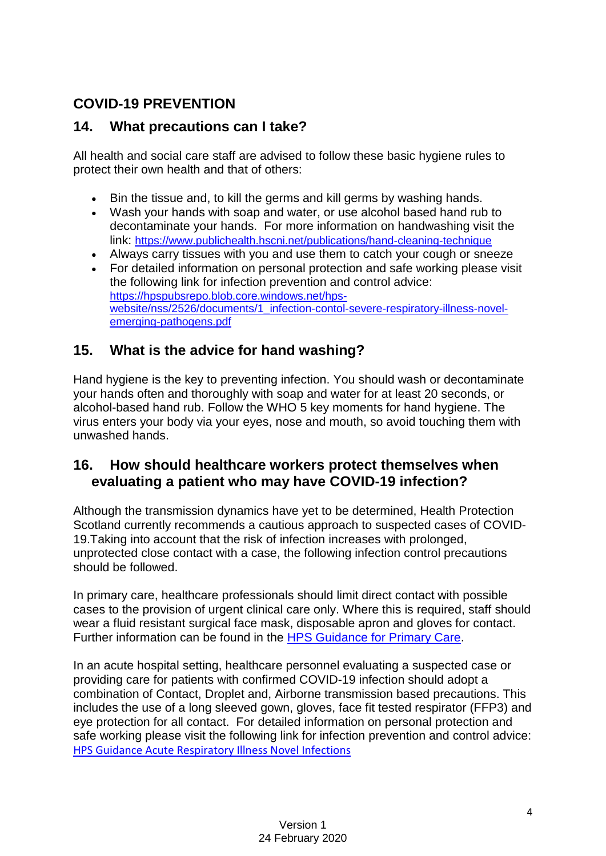# **COVID-19 PREVENTION**

# **14. What precautions can I take?**

All health and social care staff are advised to follow these basic hygiene rules to protect their own health and that of others:

- Bin the tissue and, to kill the germs and kill germs by washing hands.
- Wash your hands with soap and water, or use alcohol based hand rub to decontaminate your hands. For more information on handwashing visit the link:<https://www.publichealth.hscni.net/publications/hand-cleaning-technique>
- Always carry tissues with you and use them to catch your cough or sneeze
- For detailed information on personal protection and safe working please visit the following link for infection prevention and control advice: [https://hpspubsrepo.blob.core.windows.net/hps](https://hpspubsrepo.blob.core.windows.net/hps-website/nss/2526/documents/1_infection-contol-severe-respiratory-illness-novel-emerging-pathogens.pdf)[website/nss/2526/documents/1\\_infection-contol-severe-respiratory-illness-novel](https://hpspubsrepo.blob.core.windows.net/hps-website/nss/2526/documents/1_infection-contol-severe-respiratory-illness-novel-emerging-pathogens.pdf)[emerging-pathogens.pdf](https://hpspubsrepo.blob.core.windows.net/hps-website/nss/2526/documents/1_infection-contol-severe-respiratory-illness-novel-emerging-pathogens.pdf)

# **15. What is the advice for hand washing?**

Hand hygiene is the key to preventing infection. You should wash or decontaminate your hands often and thoroughly with soap and water for at least 20 seconds, or alcohol-based hand rub. Follow the WHO 5 key moments for hand hygiene. The virus enters your body via your eyes, nose and mouth, so avoid touching them with unwashed hands.

### **16. How should healthcare workers protect themselves when evaluating a patient who may have COVID-19 infection?**

Although the transmission dynamics have yet to be determined, Health Protection Scotland currently recommends a cautious approach to suspected cases of COVID-19.Taking into account that the risk of infection increases with prolonged, unprotected close contact with a case, the following infection control precautions should be followed.

In primary care, healthcare professionals should limit direct contact with possible cases to the provision of urgent clinical care only. Where this is required, staff should wear a fluid resistant surgical face mask, disposable apron and gloves for contact. Further information can be found in the [HPS Guidance for Primary Care.](https://hpspubsrepo.blob.core.windows.net/hps-website/nss/2930/documents/1_ncov-guidance-for-primary-care.pdf)

In an acute hospital setting, healthcare personnel evaluating a suspected case or providing care for patients with confirmed COVID-19 infection should adopt a combination of Contact, Droplet and, Airborne transmission based precautions. This includes the use of a long sleeved gown, gloves, face fit tested respirator (FFP3) and eye protection for all contact. For detailed information on personal protection and safe working please visit the following link for infection prevention and control advice: [HPS Guidance Acute Respiratory Illness Novel Infections](https://hpspubsrepo.blob.core.windows.net/hps-website/nss/2526/documents/1_infection-contol-severe-respiratory-illness-novel-emerging-pathogens.pdf)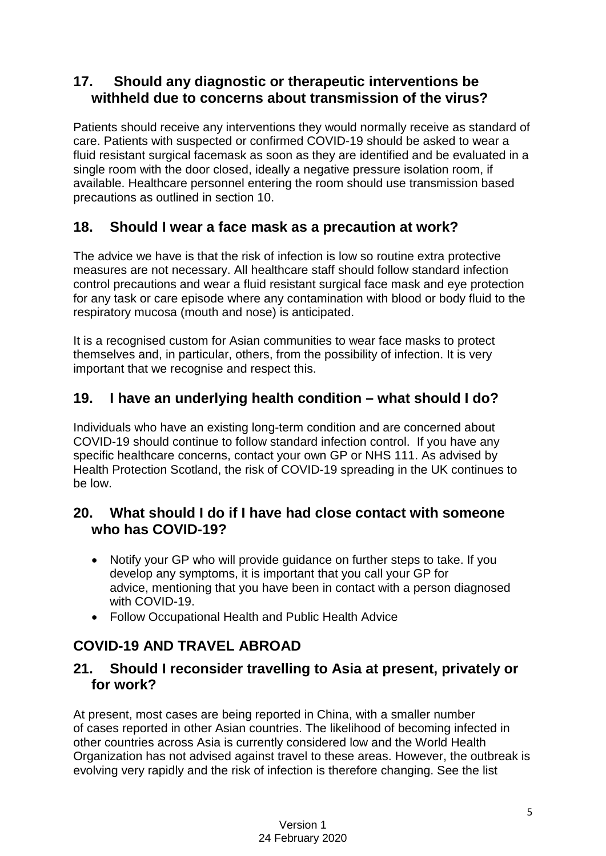# **17. Should any diagnostic or therapeutic interventions be withheld due to concerns about transmission of the virus?**

Patients should receive any interventions they would normally receive as standard of care. Patients with suspected or confirmed COVID-19 should be asked to wear a fluid resistant surgical facemask as soon as they are identified and be evaluated in a single room with the door closed, ideally a negative pressure isolation room, if available. Healthcare personnel entering the room should use transmission based precautions as outlined in section 10.

# **18. Should I wear a face mask as a precaution at work?**

The advice we have is that the risk of infection is low so routine extra protective measures are not necessary. All healthcare staff should follow standard infection control precautions and wear a fluid resistant surgical face mask and eye protection for any task or care episode where any contamination with blood or body fluid to the respiratory mucosa (mouth and nose) is anticipated.

It is a recognised custom for Asian communities to wear face masks to protect themselves and, in particular, others, from the possibility of infection. It is very important that we recognise and respect this.

## **19. I have an underlying health condition – what should I do?**

Individuals who have an existing long-term condition and are concerned about COVID-19 should continue to follow standard infection control. If you have any specific healthcare concerns, contact your own GP or NHS 111. As advised by Health Protection Scotland, the risk of COVID-19 spreading in the UK continues to be low.

### **20. What should I do if I have had close contact with someone who has COVID-19?**

- Notify your GP who will provide guidance on further steps to take. If you develop any symptoms, it is important that you call your GP for advice, mentioning that you have been in contact with a person diagnosed with COVID-19.
- Follow Occupational Health and Public Health Advice

# **COVID-19 AND TRAVEL ABROAD**

#### **21. Should I reconsider travelling to Asia at present, privately or for work?**

At present, most cases are being [reported in China,](https://www.ecdc.europa.eu/en/geographical-distribution-2019-ncov-cases) with a smaller number of cases reported in other Asian countries. The likelihood of becoming infected in other countries across Asia is currently considered low and the World Health Organization has not advised against travel to these areas. However, the outbreak is evolving very rapidly and the [risk of infection](https://www.ecdc.europa.eu/en/current-risk-assessment-novel-coronavirus-situation) is therefore changing. See the list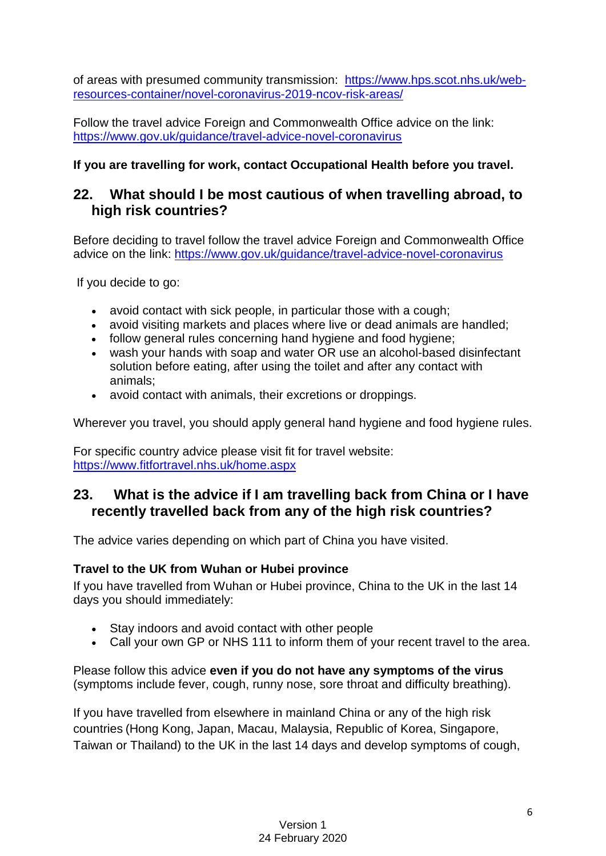of areas [with presumed community transmission:](https://www.ecdc.europa.eu/en/areas-presumed-ongoing-community-transmission-2019-ncov) [https://www.hps.scot.nhs.uk/web](https://www.hps.scot.nhs.uk/web-resources-container/novel-coronavirus-2019-ncov-risk-areas/)[resources-container/novel-coronavirus-2019-ncov-risk-areas/](https://www.hps.scot.nhs.uk/web-resources-container/novel-coronavirus-2019-ncov-risk-areas/)

Follow the travel advice Foreign and Commonwealth Office advice on the link: <https://www.gov.uk/guidance/travel-advice-novel-coronavirus>

#### **If you are travelling for work, contact Occupational Health before you travel.**

### **22. What should I be most cautious of when travelling abroad, to high risk countries?**

Before deciding to travel follow the travel advice Foreign and Commonwealth Office advice on the link:<https://www.gov.uk/guidance/travel-advice-novel-coronavirus>

If you decide to go:

- avoid contact with sick people, in particular those with a cough;
- avoid visiting markets and places where live or dead animals are handled;
- follow general rules concerning hand hygiene and food hygiene;
- wash your hands with soap and water OR use an alcohol-based disinfectant solution before eating, after using the toilet and after any contact with animals;
- avoid contact with animals, their excretions or droppings.

Wherever you travel, you should apply general hand hygiene and food hygiene rules.

For specific country advice please visit fit for travel website: <https://www.fitfortravel.nhs.uk/home.aspx>

### **23. What is the advice if I am travelling back from China or I have recently travelled back from any of the high risk countries?**

The advice varies depending on which part of China you have visited.

#### **Travel to the UK from Wuhan or Hubei province**

If you have travelled from Wuhan or Hubei province, China to the UK in the last 14 days you should immediately:

- Stay indoors and avoid contact with other people
- Call your own GP or NHS 111 to inform them of your recent travel to the area.

Please follow this advice **even if you do not have any symptoms of the virus**  (symptoms include fever, cough, runny nose, sore throat and difficulty breathing).

If you have travelled from elsewhere in mainland China or any of the high risk countries (Hong Kong, Japan, Macau, Malaysia, Republic of Korea, Singapore, Taiwan or Thailand) to the UK in the last 14 days and develop symptoms of cough,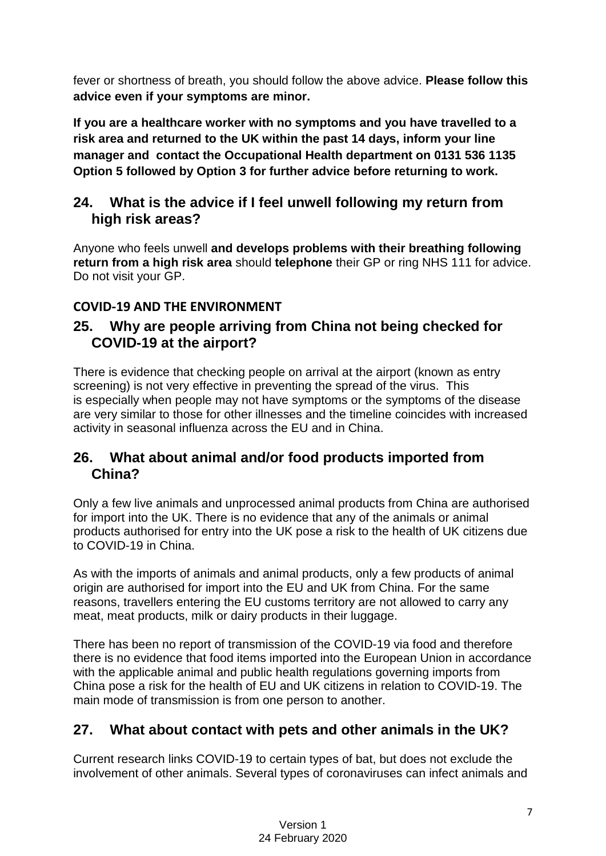fever or shortness of breath, you should follow the above advice. **Please follow this advice even if your symptoms are minor.**

**If you are a healthcare worker with no symptoms and you have travelled to a risk area and returned to the UK within the past 14 days, inform your line manager and contact the Occupational Health department on 0131 536 1135 Option 5 followed by Option 3 for further advice before returning to work.**

# **24. What is the advice if I feel unwell following my return from high risk areas?**

Anyone who feels unwell **and develops problems with their breathing following return from a high risk area** should **telephone** their GP or ring NHS 111 for advice. Do not visit your GP.

### **COVID-19 AND THE ENVIRONMENT**

### **25. Why are people arriving from China not being checked for COVID-19 at the airport?**

There is evidence that checking people on arrival at the airport (known as entry screening) is not very effective in preventing the spread of the virus. This is especially when people may not have symptoms or the symptoms of the disease are very similar to those for other illnesses and the timeline coincides with increased activity in seasonal influenza across the EU and in China.

## **26. What about animal and/or food products imported from China?**

Only a few live animals and unprocessed animal products from China are authorised for import into the UK. There is no evidence that any of the animals or animal products authorised for entry into the UK pose a risk to the health of UK citizens due to COVID-19 in China.

As with the imports of animals and animal products, only a few products of animal origin are authorised for import into the EU and UK from China. For the same reasons, travellers entering the EU customs territory are not allowed to carry any meat, meat products, milk or dairy products in their luggage.

There has been no report of transmission of the COVID-19 via food and therefore there is no evidence that food items imported into the European Union in accordance with the applicable animal and public health regulations governing imports from China pose a risk for the health of EU and UK citizens in relation to COVID-19. The main mode of transmission is from one person to another.

## **27. What about contact with pets and other animals in the UK?**

Current research links COVID-19 to certain types of bat, but does not exclude the involvement of other animals. Several types of coronaviruses can infect animals and